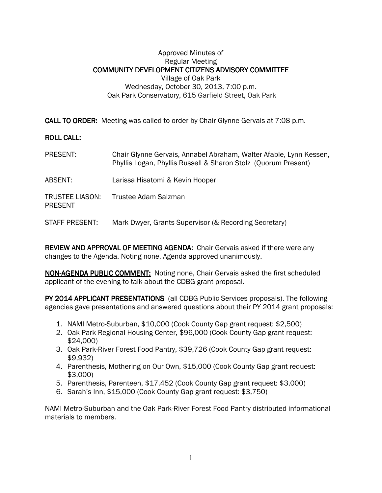## Approved Minutes of Regular Meeting COMMUNITY DEVELOPMENT CITIZENS ADVISORY COMMITTEE Village of Oak Park Wednesday, October 30, 2013, 7:00 p.m. Oak Park Conservatory, 615 Garfield Street, Oak Park

**CALL TO ORDER:** Meeting was called to order by Chair Glynne Gervais at 7:08 p.m.

## **ROLL CALL:**

| PRESENT:                                 | Chair Glynne Gervais, Annabel Abraham, Walter Afable, Lynn Kessen,<br>Phyllis Logan, Phyllis Russell & Sharon Stolz (Quorum Present) |
|------------------------------------------|--------------------------------------------------------------------------------------------------------------------------------------|
| ABSENT:                                  | Larissa Hisatomi & Kevin Hooper                                                                                                      |
| <b>TRUSTEE LIASON:</b><br><b>PRESENT</b> | Trustee Adam Salzman                                                                                                                 |
| STAFF PRESENT:                           | Mark Dwyer, Grants Supervisor (& Recording Secretary)                                                                                |

REVIEW AND APPROVAL OF MEETING AGENDA: Chair Gervais asked if there were any changes to the Agenda. Noting none, Agenda approved unanimously.

NON-AGENDA PUBLIC COMMENT: Noting none, Chair Gervais asked the first scheduled applicant of the evening to talk about the CDBG grant proposal.

PY 2014 APPLICANT PRESENTATIONS (all CDBG Public Services proposals). The following agencies gave presentations and answered questions about their PY 2014 grant proposals:

- 1. NAMI Metro-Suburban, \$10,000 (Cook County Gap grant request: \$2,500)
- 2. Oak Park Regional Housing Center, \$96,000 (Cook County Gap grant request: \$24,000)
- 3. Oak Park-River Forest Food Pantry, \$39,726 (Cook County Gap grant request: \$9,932)
- 4. Parenthesis, Mothering on Our Own, \$15,000 (Cook County Gap grant request: \$3,000)
- 5. Parenthesis, Parenteen, \$17,452 (Cook County Gap grant request: \$3,000)
- 6. Sarah's Inn, \$15,000 (Cook County Gap grant request: \$3,750)

NAMI Metro-Suburban and the Oak Park-River Forest Food Pantry distributed informational materials to members.